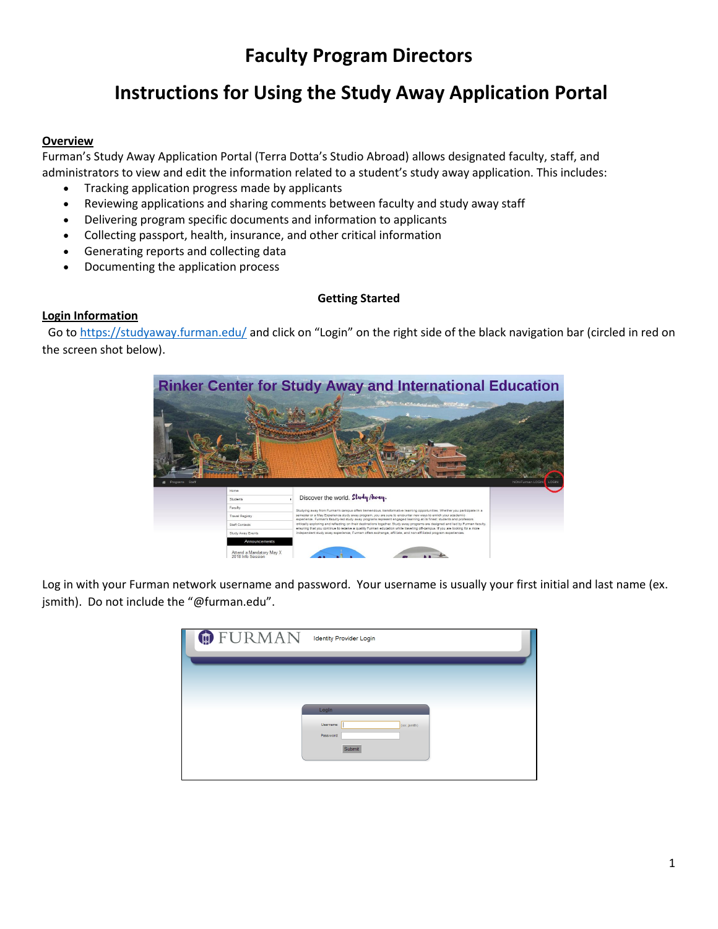# **Faculty Program Directors**

# **Instructions for Using the Study Away Application Portal**

### **Overview**

Furman's Study Away Application Portal (Terra Dotta's Studio Abroad) allows designated faculty, staff, and administrators to view and edit the information related to a student's study away application. This includes:

- Tracking application progress made by applicants
- Reviewing applications and sharing comments between faculty and study away staff
- Delivering program specific documents and information to applicants
- Collecting passport, health, insurance, and other critical information
- Generating reports and collecting data
- Documenting the application process

# **Getting Started**

# **Login Information**

Go to <https://studyaway.furman.edu/> and click on "Login" on the right side of the black navigation bar (circled in red on the screen shot below).



Log in with your Furman network username and password. Your username is usually your first initial and last name (ex. jsmith). Do not include the "@furman.edu".

| <b>DEURMAN</b> | <b>Identity Provider Login</b>     |
|----------------|------------------------------------|
|                |                                    |
|                |                                    |
|                | Login<br>Username:<br>(ex: jsmith) |
|                | Password:<br>Submit                |
|                |                                    |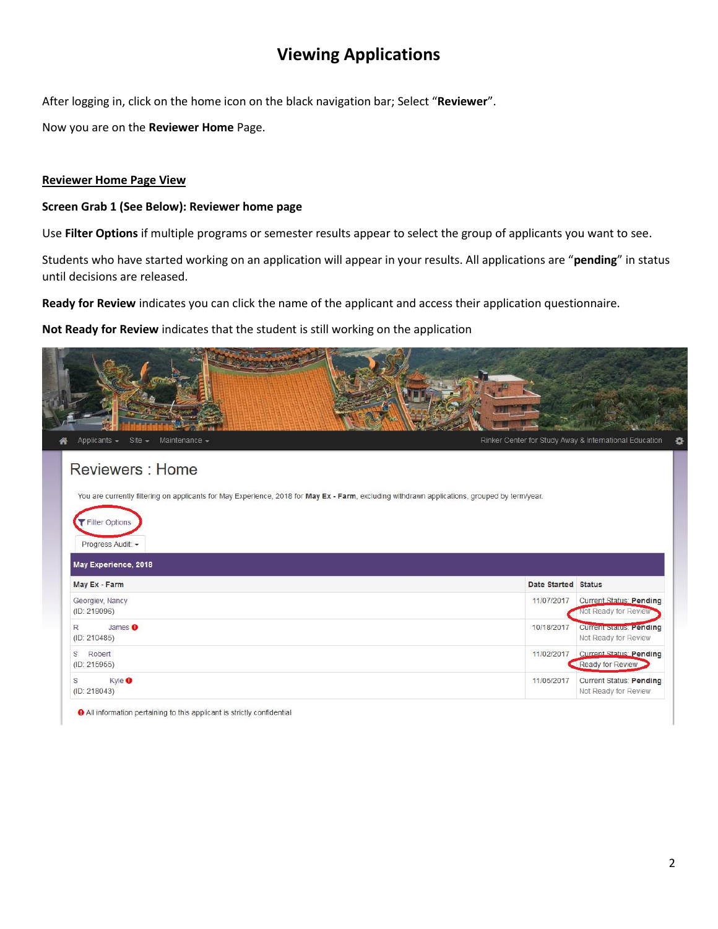# **Viewing Applications**

After logging in, click on the home icon on the black navigation bar; Select "**Reviewer**".

Now you are on the **Reviewer Home** Page.

# **Reviewer Home Page View**

#### **Screen Grab 1 (See Below): Reviewer home page**

Use **Filter Options** if multiple programs or semester results appear to select the group of applicants you want to see.

Students who have started working on an application will appear in your results. All applications are "**pending**" in status until decisions are released.

**Ready for Review** indicates you can click the name of the applicant and access their application questionnaire.

**Not Ready for Review** indicates that the student is still working on the application

| Site $\star$ Maintenance $\star$<br>Applicants $\star$                                                                                        | Rinker Center for Study Away & International Education               |
|-----------------------------------------------------------------------------------------------------------------------------------------------|----------------------------------------------------------------------|
| <b>Reviewers: Home</b>                                                                                                                        |                                                                      |
| You are currently filtering on applicants for May Experience, 2018 for May Ex - Farm, excluding withdrawn applications, grouped by term/year. |                                                                      |
| Filter Options<br>Progress Audit: -                                                                                                           |                                                                      |
| May Experience, 2018                                                                                                                          |                                                                      |
| May Ex - Farm                                                                                                                                 | Date Started Status                                                  |
| Georgiev, Nancy<br>(ID: 219096)                                                                                                               | 11/07/2017<br><b>Current Status: Pending</b><br>Not Ready for Review |
| R<br>James <sub>0</sub>                                                                                                                       | 10/18/2017<br><b>Current Status: Pending</b>                         |
| (ID: 210485)                                                                                                                                  | Not Ready for Review                                                 |
| S<br>Robert<br>(ID: 215955)                                                                                                                   | <b>Current Status: Pending</b><br>11/02/2017<br>Ready for Review     |

**O** All information pertaining to this applicant is strictly confidential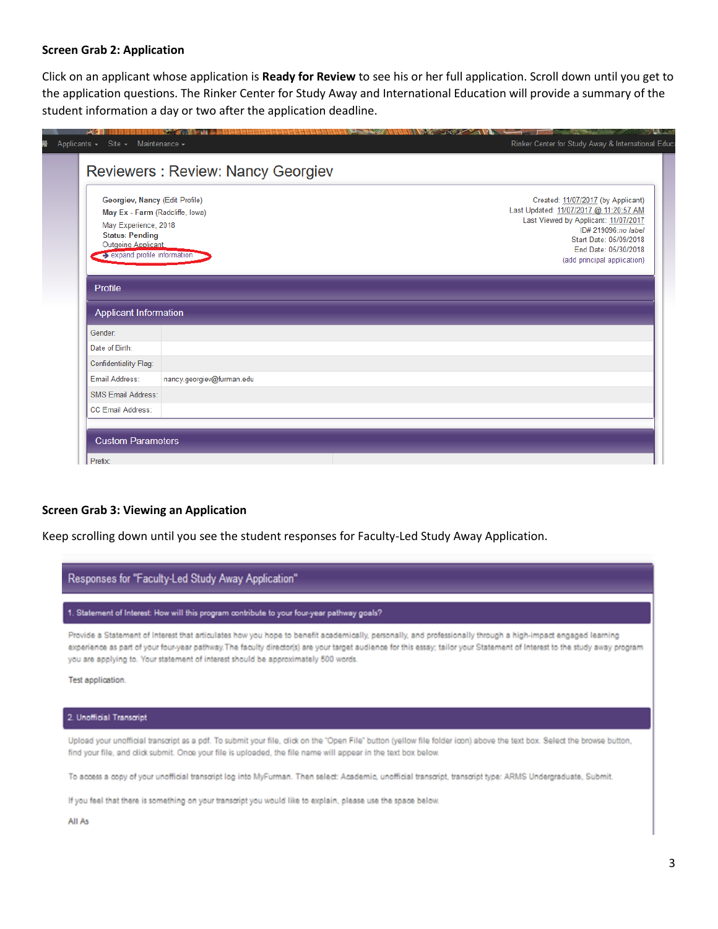#### **Screen Grab 2: Application**

Click on an applicant whose application is **Ready for Review** to see his or her full application. Scroll down until you get to the application questions. The Rinker Center for Study Away and International Education will provide a summary of the student information a day or two after the application deadline.

|                                                                | Georgiev, Nancy (Edit Profile) | Created: 11/07/2017 (by Applicant)            |
|----------------------------------------------------------------|--------------------------------|-----------------------------------------------|
| May Ex - Farm (Radcliffe, Iowa)                                |                                | Last Updated: 11/07/2017 @ 11:20:57 AM        |
| May Experience, 2018                                           |                                | Last Viewed by Applicant: 11/07/2017          |
| <b>Status: Pending</b>                                         |                                | ID# 219096:no label<br>Start Date: 05/09/2018 |
| Outgoing Applicant<br>$\rightarrow$ expand profile information |                                | End Date: 05/30/2018                          |
|                                                                |                                | (add principal application)                   |
| Profile<br><b>Applicant Information</b>                        |                                |                                               |
| Gender:                                                        |                                |                                               |
| Date of Birth:                                                 |                                |                                               |
| Confidentiality Flag:                                          |                                |                                               |
| Email Address:                                                 | nancy.georgiev@furman.edu      |                                               |
| <b>SMS Email Address:</b>                                      |                                |                                               |

#### **Screen Grab 3: Viewing an Application**

Keep scrolling down until you see the student responses for Faculty-Led Study Away Application.

| Responses for "Faculty-Led Study Away Application"                                                                                                                                                                                                                                                                                                                                                                               |  |  |
|----------------------------------------------------------------------------------------------------------------------------------------------------------------------------------------------------------------------------------------------------------------------------------------------------------------------------------------------------------------------------------------------------------------------------------|--|--|
| 1. Statement of Interest: How will this program contribute to your four-year pathway goals?                                                                                                                                                                                                                                                                                                                                      |  |  |
| Provide a Statement of Interest that articulates how you hope to benefit academically, personally, and professionally through a high-impact engaged learning<br>experience as part of your four-year pathway. The faculty director(s) are your target audience for this essay; tailor your Statement of Interest to the study away program<br>you are applying to. Your statement of interest should be approximately 500 words. |  |  |
| Test application.                                                                                                                                                                                                                                                                                                                                                                                                                |  |  |
|                                                                                                                                                                                                                                                                                                                                                                                                                                  |  |  |

2. Unofficial Transcript

Upload your unofficial transcript as a pdf. To submit your file, click on the "Open File" button (yellow file folder icon) above the text box. Select the browse button, find your file, and click submit. Once your file is uploaded, the file name will appear in the text box below.

To access a copy of your unofficial transcript log into MyFurman. Then select: Academic, unofficial transcript, transcript type: ARMS Undergraduate, Submit.

If you feel that there is something on your transcript you would like to explain, please use the space below.

All As